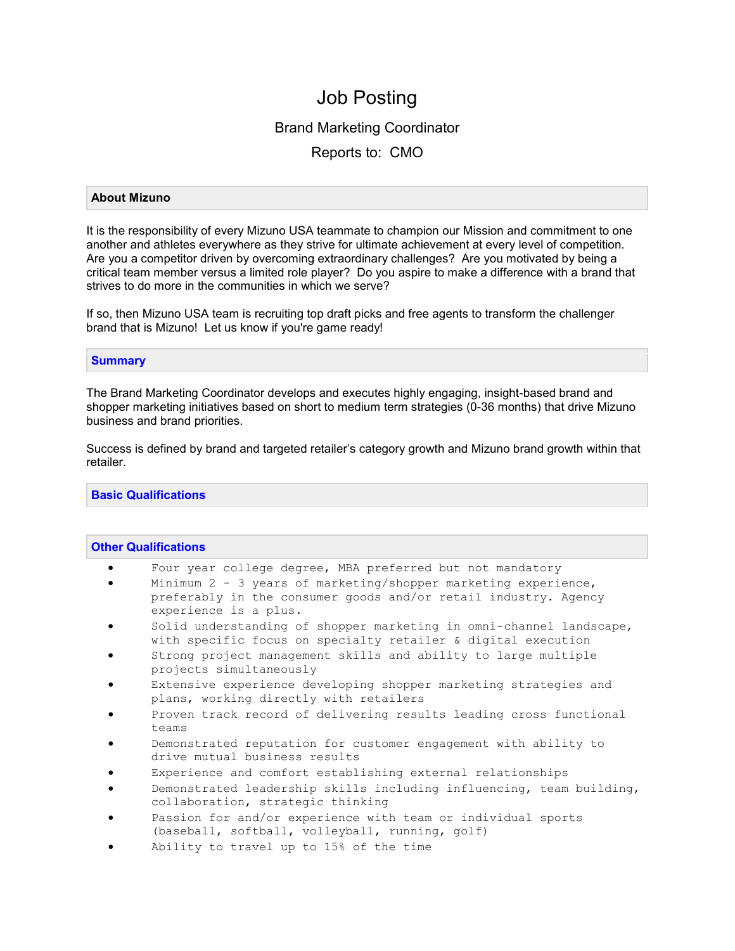# Job Posting

## Brand Marketing Coordinator

Reports to: CMO

## **About Mizuno**

It is the responsibility of every Mizuno USA teammate to champion our Mission and commitment to one another and athletes everywhere as they strive for ultimate achievement at every level of competition. Are you a competitor driven by overcoming extraordinary challenges? Are you motivated by being a critical team member versus a limited role player? Do you aspire to make a difference with a brand that strives to do more in the communities in which we serve?

If so, then Mizuno USA team is recruiting top draft picks and free agents to transform the challenger brand that is Mizuno! Let us know if you're game ready!

## **Summary**

The Brand Marketing Coordinator develops and executes highly engaging, insight-based brand and shopper marketing initiatives based on short to medium term strategies (0-36 months) that drive Mizuno business and brand priorities.

Success is defined by brand and targeted retailer's category growth and Mizuno brand growth within that retailer.

## **Basic Qualifications**

### **Other Qualifications**

- Four year college degree, MBA preferred but not mandatory
- Minimum 2 3 years of marketing/shopper marketing experience, preferably in the consumer goods and/or retail industry. Agency experience is a plus.
- Solid understanding of shopper marketing in omni-channel landscape, with specific focus on specialty retailer & digital execution
- Strong project management skills and ability to large multiple projects simultaneously
- Extensive experience developing shopper marketing strategies and plans, working directly with retailers
- Proven track record of delivering results leading cross functional teams
- Demonstrated reputation for customer engagement with ability to drive mutual business results
- Experience and comfort establishing external relationships
- Demonstrated leadership skills including influencing, team building, collaboration, strategic thinking
- Passion for and/or experience with team or individual sports (baseball, softball, volleyball, running, golf)
- Ability to travel up to 15% of the time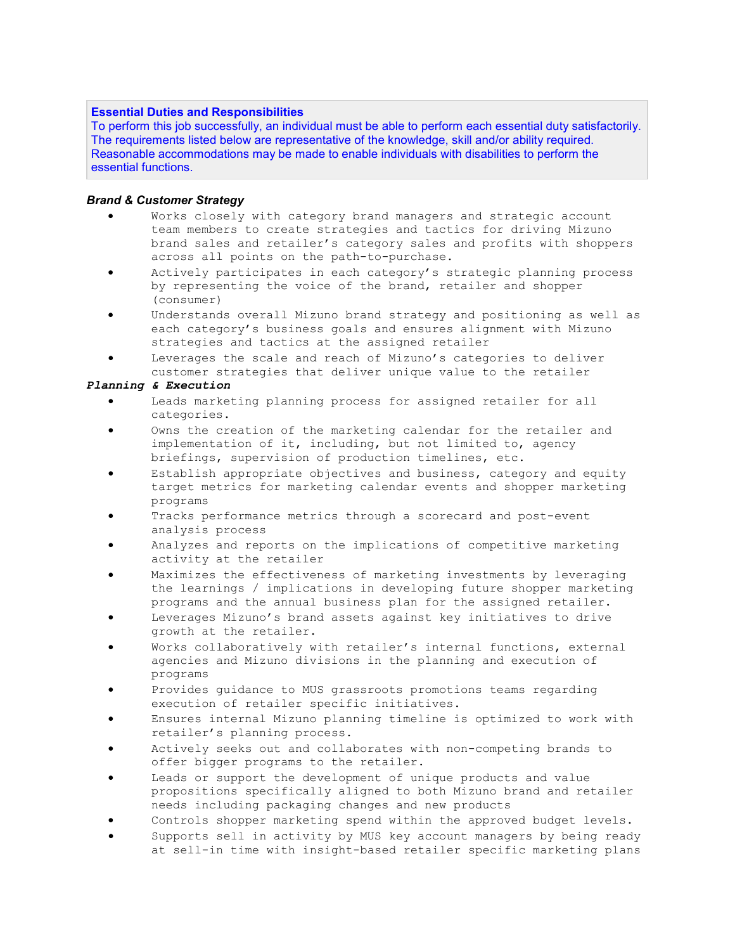## **Essential Duties and Responsibilities**

To perform this job successfully, an individual must be able to perform each essential duty satisfactorily. The requirements listed below are representative of the knowledge, skill and/or ability required. Reasonable accommodations may be made to enable individuals with disabilities to perform the essential functions.

## *Brand & Customer Strategy*

- Works closely with category brand managers and strategic account team members to create strategies and tactics for driving Mizuno brand sales and retailer's category sales and profits with shoppers across all points on the path-to-purchase.
- Actively participates in each category's strategic planning process by representing the voice of the brand, retailer and shopper (consumer)
- Understands overall Mizuno brand strategy and positioning as well as each category's business goals and ensures alignment with Mizuno strategies and tactics at the assigned retailer
- Leverages the scale and reach of Mizuno's categories to deliver customer strategies that deliver unique value to the retailer

### *Planning & Execution*

- Leads marketing planning process for assigned retailer for all categories.
- Owns the creation of the marketing calendar for the retailer and implementation of it, including, but not limited to, agency briefings, supervision of production timelines, etc.
- Establish appropriate objectives and business, category and equity target metrics for marketing calendar events and shopper marketing programs
- Tracks performance metrics through a scorecard and post-event analysis process
- Analyzes and reports on the implications of competitive marketing activity at the retailer
- Maximizes the effectiveness of marketing investments by leveraging the learnings / implications in developing future shopper marketing programs and the annual business plan for the assigned retailer.
- Leverages Mizuno's brand assets against key initiatives to drive growth at the retailer.
- Works collaboratively with retailer's internal functions, external agencies and Mizuno divisions in the planning and execution of programs
- Provides guidance to MUS grassroots promotions teams regarding execution of retailer specific initiatives.
- Ensures internal Mizuno planning timeline is optimized to work with retailer's planning process.
- Actively seeks out and collaborates with non-competing brands to offer bigger programs to the retailer.
- Leads or support the development of unique products and value propositions specifically aligned to both Mizuno brand and retailer needs including packaging changes and new products
- Controls shopper marketing spend within the approved budget levels.
- Supports sell in activity by MUS key account managers by being ready at sell-in time with insight-based retailer specific marketing plans